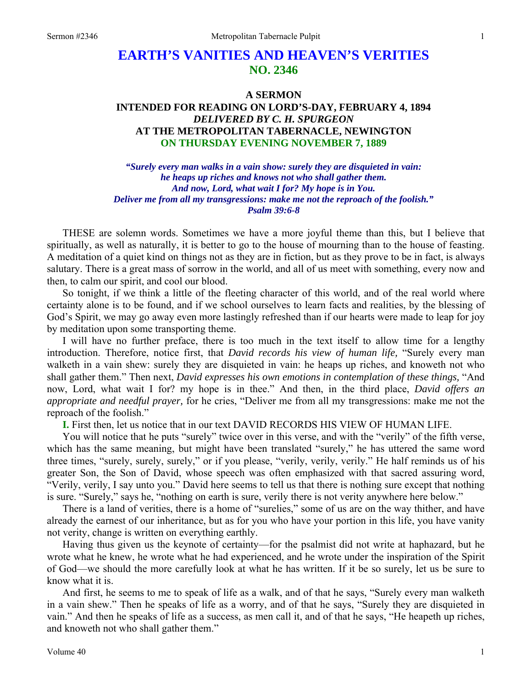# **EARTH'S VANITIES AND HEAVEN'S VERITIES NO. 2346**

## **A SERMON INTENDED FOR READING ON LORD'S-DAY, FEBRUARY 4, 1894**  *DELIVERED BY C. H. SPURGEON*  **AT THE METROPOLITAN TABERNACLE, NEWINGTON ON THURSDAY EVENING NOVEMBER 7, 1889**

*"Surely every man walks in a vain show: surely they are disquieted in vain: he heaps up riches and knows not who shall gather them. And now, Lord, what wait I for? My hope is in You. Deliver me from all my transgressions: make me not the reproach of the foolish." Psalm 39:6-8* 

THESE are solemn words. Sometimes we have a more joyful theme than this, but I believe that spiritually, as well as naturally, it is better to go to the house of mourning than to the house of feasting. A meditation of a quiet kind on things not as they are in fiction, but as they prove to be in fact, is always salutary. There is a great mass of sorrow in the world, and all of us meet with something, every now and then, to calm our spirit, and cool our blood.

So tonight, if we think a little of the fleeting character of this world, and of the real world where certainty alone is to be found, and if we school ourselves to learn facts and realities, by the blessing of God's Spirit, we may go away even more lastingly refreshed than if our hearts were made to leap for joy by meditation upon some transporting theme.

I will have no further preface, there is too much in the text itself to allow time for a lengthy introduction. Therefore, notice first, that *David records his view of human life,* "Surely every man walketh in a vain shew: surely they are disquieted in vain: he heaps up riches, and knoweth not who shall gather them." Then next, *David expresses his own emotions in contemplation of these things,* "And now, Lord, what wait I for? my hope is in thee." And then, in the third place, *David offers an appropriate and needful prayer,* for he cries, "Deliver me from all my transgressions: make me not the reproach of the foolish."

**I.** First then, let us notice that in our text DAVID RECORDS HIS VIEW OF HUMAN LIFE.

You will notice that he puts "surely" twice over in this verse, and with the "verily" of the fifth verse, which has the same meaning, but might have been translated "surely," he has uttered the same word three times, "surely, surely, surely," or if you please, "verily, verily, verily." He half reminds us of his greater Son, the Son of David, whose speech was often emphasized with that sacred assuring word, "Verily, verily, I say unto you." David here seems to tell us that there is nothing sure except that nothing is sure. "Surely," says he, "nothing on earth is sure, verily there is not verity anywhere here below."

There is a land of verities, there is a home of "surelies," some of us are on the way thither, and have already the earnest of our inheritance, but as for you who have your portion in this life, you have vanity not verity, change is written on everything earthly.

Having thus given us the keynote of certainty—for the psalmist did not write at haphazard, but he wrote what he knew, he wrote what he had experienced, and he wrote under the inspiration of the Spirit of God—we should the more carefully look at what he has written. If it be so surely, let us be sure to know what it is.

And first, he seems to me to speak of life as a walk, and of that he says, "Surely every man walketh in a vain shew." Then he speaks of life as a worry, and of that he says, "Surely they are disquieted in vain." And then he speaks of life as a success, as men call it, and of that he says, "He heapeth up riches, and knoweth not who shall gather them."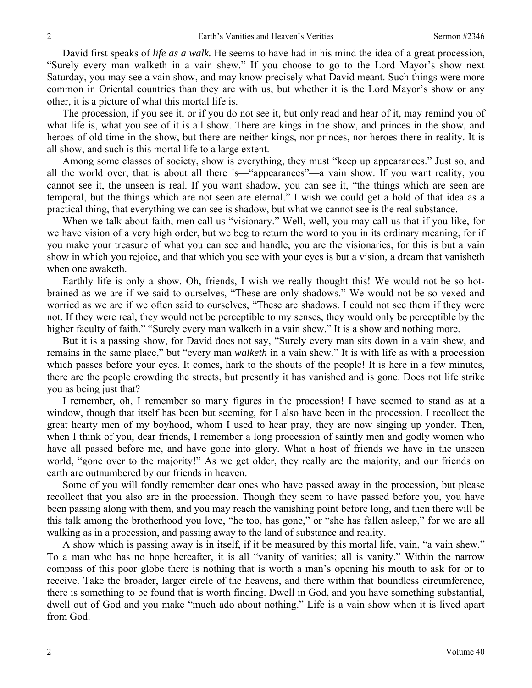David first speaks of *life as a walk.* He seems to have had in his mind the idea of a great procession, "Surely every man walketh in a vain shew." If you choose to go to the Lord Mayor's show next Saturday, you may see a vain show, and may know precisely what David meant. Such things were more common in Oriental countries than they are with us, but whether it is the Lord Mayor's show or any other, it is a picture of what this mortal life is.

The procession, if you see it, or if you do not see it, but only read and hear of it, may remind you of what life is, what you see of it is all show. There are kings in the show, and princes in the show, and heroes of old time in the show, but there are neither kings, nor princes, nor heroes there in reality. It is all show, and such is this mortal life to a large extent.

Among some classes of society, show is everything, they must "keep up appearances." Just so, and all the world over, that is about all there is—"appearances"—a vain show. If you want reality, you cannot see it, the unseen is real. If you want shadow, you can see it, "the things which are seen are temporal, but the things which are not seen are eternal." I wish we could get a hold of that idea as a practical thing, that everything we can see is shadow, but what we cannot see is the real substance.

When we talk about faith, men call us "visionary." Well, well, you may call us that if you like, for we have vision of a very high order, but we beg to return the word to you in its ordinary meaning, for if you make your treasure of what you can see and handle, you are the visionaries, for this is but a vain show in which you rejoice, and that which you see with your eyes is but a vision, a dream that vanisheth when one awaketh.

Earthly life is only a show. Oh, friends, I wish we really thought this! We would not be so hotbrained as we are if we said to ourselves, "These are only shadows." We would not be so vexed and worried as we are if we often said to ourselves, "These are shadows. I could not see them if they were not. If they were real, they would not be perceptible to my senses, they would only be perceptible by the higher faculty of faith." "Surely every man walketh in a vain shew." It is a show and nothing more.

But it is a passing show, for David does not say, "Surely every man sits down in a vain shew, and remains in the same place," but "every man *walketh* in a vain shew." It is with life as with a procession which passes before your eyes. It comes, hark to the shouts of the people! It is here in a few minutes, there are the people crowding the streets, but presently it has vanished and is gone. Does not life strike you as being just that?

I remember, oh, I remember so many figures in the procession! I have seemed to stand as at a window, though that itself has been but seeming, for I also have been in the procession. I recollect the great hearty men of my boyhood, whom I used to hear pray, they are now singing up yonder. Then, when I think of you, dear friends, I remember a long procession of saintly men and godly women who have all passed before me, and have gone into glory. What a host of friends we have in the unseen world, "gone over to the majority!" As we get older, they really are the majority, and our friends on earth are outnumbered by our friends in heaven.

Some of you will fondly remember dear ones who have passed away in the procession, but please recollect that you also are in the procession. Though they seem to have passed before you, you have been passing along with them, and you may reach the vanishing point before long, and then there will be this talk among the brotherhood you love, "he too, has gone," or "she has fallen asleep," for we are all walking as in a procession, and passing away to the land of substance and reality.

A show which is passing away is in itself, if it be measured by this mortal life, vain, "a vain shew." To a man who has no hope hereafter, it is all "vanity of vanities; all is vanity." Within the narrow compass of this poor globe there is nothing that is worth a man's opening his mouth to ask for or to receive. Take the broader, larger circle of the heavens, and there within that boundless circumference, there is something to be found that is worth finding. Dwell in God, and you have something substantial, dwell out of God and you make "much ado about nothing." Life is a vain show when it is lived apart from God.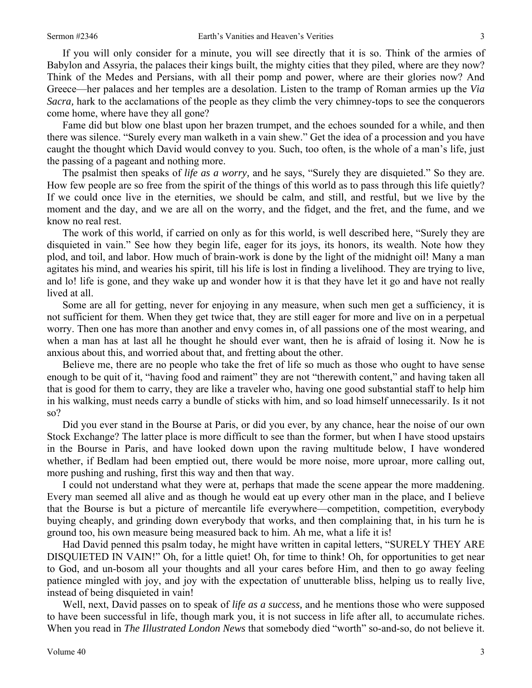If you will only consider for a minute, you will see directly that it is so. Think of the armies of Babylon and Assyria, the palaces their kings built, the mighty cities that they piled, where are they now? Think of the Medes and Persians, with all their pomp and power, where are their glories now? And Greece—her palaces and her temples are a desolation. Listen to the tramp of Roman armies up the *Via Sacra,* hark to the acclamations of the people as they climb the very chimney-tops to see the conquerors come home, where have they all gone?

Fame did but blow one blast upon her brazen trumpet, and the echoes sounded for a while, and then there was silence. "Surely every man walketh in a vain shew." Get the idea of a procession and you have caught the thought which David would convey to you. Such, too often, is the whole of a man's life, just the passing of a pageant and nothing more.

The psalmist then speaks of *life as a worry,* and he says, "Surely they are disquieted." So they are. How few people are so free from the spirit of the things of this world as to pass through this life quietly? If we could once live in the eternities, we should be calm, and still, and restful, but we live by the moment and the day, and we are all on the worry, and the fidget, and the fret, and the fume, and we know no real rest.

The work of this world, if carried on only as for this world, is well described here, "Surely they are disquieted in vain." See how they begin life, eager for its joys, its honors, its wealth. Note how they plod, and toil, and labor. How much of brain-work is done by the light of the midnight oil! Many a man agitates his mind, and wearies his spirit, till his life is lost in finding a livelihood. They are trying to live, and lo! life is gone, and they wake up and wonder how it is that they have let it go and have not really lived at all.

Some are all for getting, never for enjoying in any measure, when such men get a sufficiency, it is not sufficient for them. When they get twice that, they are still eager for more and live on in a perpetual worry. Then one has more than another and envy comes in, of all passions one of the most wearing, and when a man has at last all he thought he should ever want, then he is afraid of losing it. Now he is anxious about this, and worried about that, and fretting about the other.

Believe me, there are no people who take the fret of life so much as those who ought to have sense enough to be quit of it, "having food and raiment" they are not "therewith content," and having taken all that is good for them to carry, they are like a traveler who, having one good substantial staff to help him in his walking, must needs carry a bundle of sticks with him, and so load himself unnecessarily. Is it not so?

Did you ever stand in the Bourse at Paris, or did you ever, by any chance, hear the noise of our own Stock Exchange? The latter place is more difficult to see than the former, but when I have stood upstairs in the Bourse in Paris, and have looked down upon the raving multitude below, I have wondered whether, if Bedlam had been emptied out, there would be more noise, more uproar, more calling out, more pushing and rushing, first this way and then that way.

I could not understand what they were at, perhaps that made the scene appear the more maddening. Every man seemed all alive and as though he would eat up every other man in the place, and I believe that the Bourse is but a picture of mercantile life everywhere—competition, competition, everybody buying cheaply, and grinding down everybody that works, and then complaining that, in his turn he is ground too, his own measure being measured back to him. Ah me, what a life it is!

Had David penned this psalm today, he might have written in capital letters, "SURELY THEY ARE DISQUIETED IN VAIN!" Oh, for a little quiet! Oh, for time to think! Oh, for opportunities to get near to God, and un-bosom all your thoughts and all your cares before Him, and then to go away feeling patience mingled with joy, and joy with the expectation of unutterable bliss, helping us to really live, instead of being disquieted in vain!

Well, next, David passes on to speak of *life as a success,* and he mentions those who were supposed to have been successful in life, though mark you, it is not success in life after all, to accumulate riches. When you read in *The Illustrated London News* that somebody died "worth" so-and-so, do not believe it.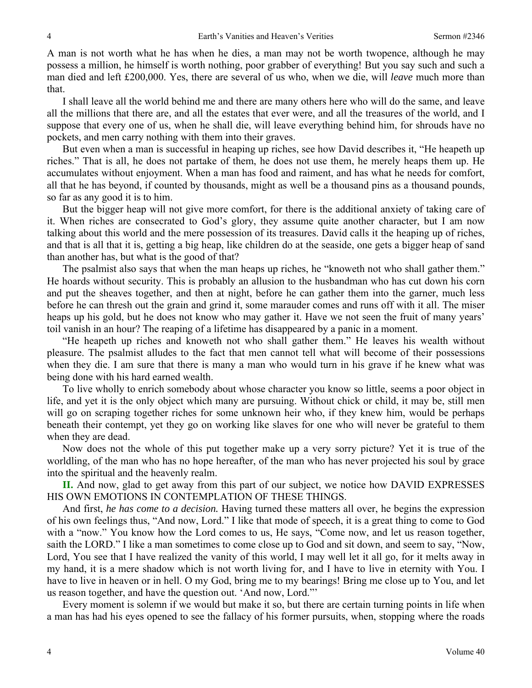A man is not worth what he has when he dies, a man may not be worth twopence, although he may possess a million, he himself is worth nothing, poor grabber of everything! But you say such and such a man died and left £200,000. Yes, there are several of us who, when we die, will *leave* much more than that.

I shall leave all the world behind me and there are many others here who will do the same, and leave all the millions that there are, and all the estates that ever were, and all the treasures of the world, and I suppose that every one of us, when he shall die, will leave everything behind him, for shrouds have no pockets, and men carry nothing with them into their graves.

But even when a man is successful in heaping up riches, see how David describes it, "He heapeth up riches." That is all, he does not partake of them, he does not use them, he merely heaps them up. He accumulates without enjoyment. When a man has food and raiment, and has what he needs for comfort, all that he has beyond, if counted by thousands, might as well be a thousand pins as a thousand pounds, so far as any good it is to him.

But the bigger heap will not give more comfort, for there is the additional anxiety of taking care of it. When riches are consecrated to God's glory, they assume quite another character, but I am now talking about this world and the mere possession of its treasures. David calls it the heaping up of riches, and that is all that it is, getting a big heap, like children do at the seaside, one gets a bigger heap of sand than another has, but what is the good of that?

The psalmist also says that when the man heaps up riches, he "knoweth not who shall gather them." He hoards without security. This is probably an allusion to the husbandman who has cut down his corn and put the sheaves together, and then at night, before he can gather them into the garner, much less before he can thresh out the grain and grind it, some marauder comes and runs off with it all. The miser heaps up his gold, but he does not know who may gather it. Have we not seen the fruit of many years' toil vanish in an hour? The reaping of a lifetime has disappeared by a panic in a moment.

"He heapeth up riches and knoweth not who shall gather them." He leaves his wealth without pleasure. The psalmist alludes to the fact that men cannot tell what will become of their possessions when they die. I am sure that there is many a man who would turn in his grave if he knew what was being done with his hard earned wealth.

To live wholly to enrich somebody about whose character you know so little, seems a poor object in life, and yet it is the only object which many are pursuing. Without chick or child, it may be, still men will go on scraping together riches for some unknown heir who, if they knew him, would be perhaps beneath their contempt, yet they go on working like slaves for one who will never be grateful to them when they are dead.

Now does not the whole of this put together make up a very sorry picture? Yet it is true of the worldling, of the man who has no hope hereafter, of the man who has never projected his soul by grace into the spiritual and the heavenly realm.

**II.** And now, glad to get away from this part of our subject, we notice how DAVID EXPRESSES HIS OWN EMOTIONS IN CONTEMPLATION OF THESE THINGS.

And first, *he has come to a decision.* Having turned these matters all over, he begins the expression of his own feelings thus, "And now, Lord." I like that mode of speech, it is a great thing to come to God with a "now." You know how the Lord comes to us, He says, "Come now, and let us reason together, saith the LORD." I like a man sometimes to come close up to God and sit down, and seem to say, "Now, Lord, You see that I have realized the vanity of this world, I may well let it all go, for it melts away in my hand, it is a mere shadow which is not worth living for, and I have to live in eternity with You. I have to live in heaven or in hell. O my God, bring me to my bearings! Bring me close up to You, and let us reason together, and have the question out. 'And now, Lord."'

Every moment is solemn if we would but make it so, but there are certain turning points in life when a man has had his eyes opened to see the fallacy of his former pursuits, when, stopping where the roads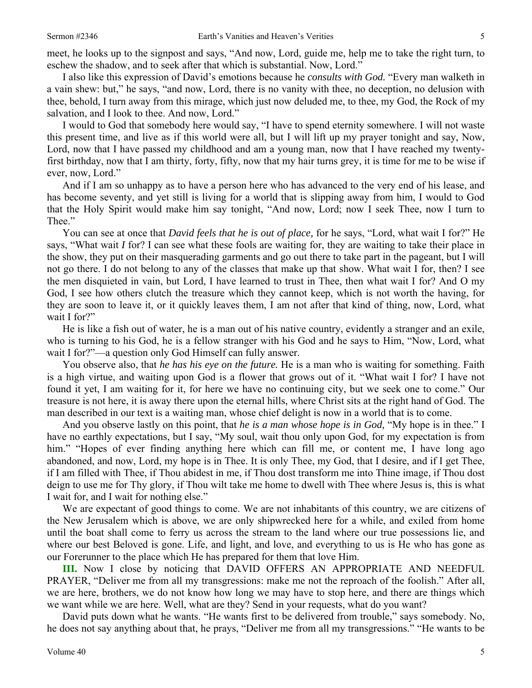meet, he looks up to the signpost and says, "And now, Lord, guide me, help me to take the right turn, to eschew the shadow, and to seek after that which is substantial. Now, Lord."

I also like this expression of David's emotions because he *consults with God.* "Every man walketh in a vain shew: but," he says, "and now, Lord, there is no vanity with thee, no deception, no delusion with thee, behold, I turn away from this mirage, which just now deluded me, to thee, my God, the Rock of my salvation, and I look to thee. And now, Lord."

I would to God that somebody here would say, "I have to spend eternity somewhere. I will not waste this present time, and live as if this world were all, but I will lift up my prayer tonight and say, Now, Lord, now that I have passed my childhood and am a young man, now that I have reached my twentyfirst birthday, now that I am thirty, forty, fifty, now that my hair turns grey, it is time for me to be wise if ever, now, Lord."

And if I am so unhappy as to have a person here who has advanced to the very end of his lease, and has become seventy, and yet still is living for a world that is slipping away from him, I would to God that the Holy Spirit would make him say tonight, "And now, Lord; now I seek Thee, now I turn to Thee."

You can see at once that *David feels that he is out of place,* for he says, "Lord, what wait I for?" He says, "What wait *I* for? I can see what these fools are waiting for, they are waiting to take their place in the show, they put on their masquerading garments and go out there to take part in the pageant, but I will not go there. I do not belong to any of the classes that make up that show. What wait I for, then? I see the men disquieted in vain, but Lord, I have learned to trust in Thee, then what wait I for? And O my God, I see how others clutch the treasure which they cannot keep, which is not worth the having, for they are soon to leave it, or it quickly leaves them, I am not after that kind of thing, now, Lord, what wait I for?"

He is like a fish out of water, he is a man out of his native country, evidently a stranger and an exile, who is turning to his God, he is a fellow stranger with his God and he says to Him, "Now, Lord, what wait I for?"—a question only God Himself can fully answer.

You observe also, that *he has his eye on the future.* He is a man who is waiting for something. Faith is a high virtue, and waiting upon God is a flower that grows out of it. "What wait I for? I have not found it yet, I am waiting for it, for here we have no continuing city, but we seek one to come." Our treasure is not here, it is away there upon the eternal hills, where Christ sits at the right hand of God. The man described in our text is a waiting man, whose chief delight is now in a world that is to come.

And you observe lastly on this point, that *he is a man whose hope is in God,* "My hope is in thee." I have no earthly expectations, but I say, "My soul, wait thou only upon God, for my expectation is from him." "Hopes of ever finding anything here which can fill me, or content me, I have long ago abandoned, and now, Lord, my hope is in Thee. It is only Thee, my God, that I desire, and if I get Thee, if I am filled with Thee, if Thou abidest in me, if Thou dost transform me into Thine image, if Thou dost deign to use me for Thy glory, if Thou wilt take me home to dwell with Thee where Jesus is, this is what I wait for, and I wait for nothing else."

We are expectant of good things to come. We are not inhabitants of this country, we are citizens of the New Jerusalem which is above, we are only shipwrecked here for a while, and exiled from home until the boat shall come to ferry us across the stream to the land where our true possessions lie, and where our best Beloved is gone. Life, and light, and love, and everything to us is He who has gone as our Forerunner to the place which He has prepared for them that love Him.

**III.** Now I close by noticing that DAVID OFFERS AN APPROPRIATE AND NEEDFUL PRAYER, "Deliver me from all my transgressions: make me not the reproach of the foolish." After all, we are here, brothers, we do not know how long we may have to stop here, and there are things which we want while we are here. Well, what are they? Send in your requests, what do you want?

David puts down what he wants. "He wants first to be delivered from trouble," says somebody. No, he does not say anything about that, he prays, "Deliver me from all my transgressions." "He wants to be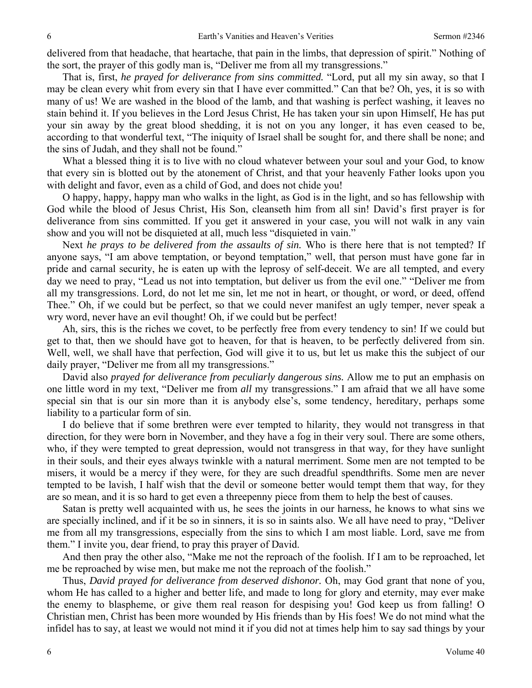delivered from that headache, that heartache, that pain in the limbs, that depression of spirit." Nothing of the sort, the prayer of this godly man is, "Deliver me from all my transgressions."

That is, first, *he prayed for deliverance from sins committed.* "Lord, put all my sin away, so that I may be clean every whit from every sin that I have ever committed." Can that be? Oh, yes, it is so with many of us! We are washed in the blood of the lamb, and that washing is perfect washing, it leaves no stain behind it. If you believes in the Lord Jesus Christ, He has taken your sin upon Himself, He has put your sin away by the great blood shedding, it is not on you any longer, it has even ceased to be, according to that wonderful text, "The iniquity of Israel shall be sought for, and there shall be none; and the sins of Judah, and they shall not be found."

What a blessed thing it is to live with no cloud whatever between your soul and your God, to know that every sin is blotted out by the atonement of Christ, and that your heavenly Father looks upon you with delight and favor, even as a child of God, and does not chide you!

O happy, happy, happy man who walks in the light, as God is in the light, and so has fellowship with God while the blood of Jesus Christ, His Son, cleanseth him from all sin! David's first prayer is for deliverance from sins committed. If you get it answered in your case, you will not walk in any vain show and you will not be disquieted at all, much less "disquieted in vain."

Next *he prays to be delivered from the assaults of sin.* Who is there here that is not tempted? If anyone says, "I am above temptation, or beyond temptation," well, that person must have gone far in pride and carnal security, he is eaten up with the leprosy of self-deceit. We are all tempted, and every day we need to pray, "Lead us not into temptation, but deliver us from the evil one." "Deliver me from all my transgressions. Lord, do not let me sin, let me not in heart, or thought, or word, or deed, offend Thee." Oh, if we could but be perfect, so that we could never manifest an ugly temper, never speak a wry word, never have an evil thought! Oh, if we could but be perfect!

Ah, sirs, this is the riches we covet, to be perfectly free from every tendency to sin! If we could but get to that, then we should have got to heaven, for that is heaven, to be perfectly delivered from sin. Well, well, we shall have that perfection, God will give it to us, but let us make this the subject of our daily prayer, "Deliver me from all my transgressions."

David also *prayed for deliverance from peculiarly dangerous sins.* Allow me to put an emphasis on one little word in my text, "Deliver me from *all* my transgressions." I am afraid that we all have some special sin that is our sin more than it is anybody else's, some tendency, hereditary, perhaps some liability to a particular form of sin.

I do believe that if some brethren were ever tempted to hilarity, they would not transgress in that direction, for they were born in November, and they have a fog in their very soul. There are some others, who, if they were tempted to great depression, would not transgress in that way, for they have sunlight in their souls, and their eyes always twinkle with a natural merriment. Some men are not tempted to be misers, it would be a mercy if they were, for they are such dreadful spendthrifts. Some men are never tempted to be lavish, I half wish that the devil or someone better would tempt them that way, for they are so mean, and it is so hard to get even a threepenny piece from them to help the best of causes.

Satan is pretty well acquainted with us, he sees the joints in our harness, he knows to what sins we are specially inclined, and if it be so in sinners, it is so in saints also. We all have need to pray, "Deliver me from all my transgressions, especially from the sins to which I am most liable. Lord, save me from them." I invite you, dear friend, to pray this prayer of David.

And then pray the other also, "Make me not the reproach of the foolish. If I am to be reproached, let me be reproached by wise men, but make me not the reproach of the foolish."

Thus, *David prayed for deliverance from deserved dishonor.* Oh, may God grant that none of you, whom He has called to a higher and better life, and made to long for glory and eternity, may ever make the enemy to blaspheme, or give them real reason for despising you! God keep us from falling! O Christian men, Christ has been more wounded by His friends than by His foes! We do not mind what the infidel has to say, at least we would not mind it if you did not at times help him to say sad things by your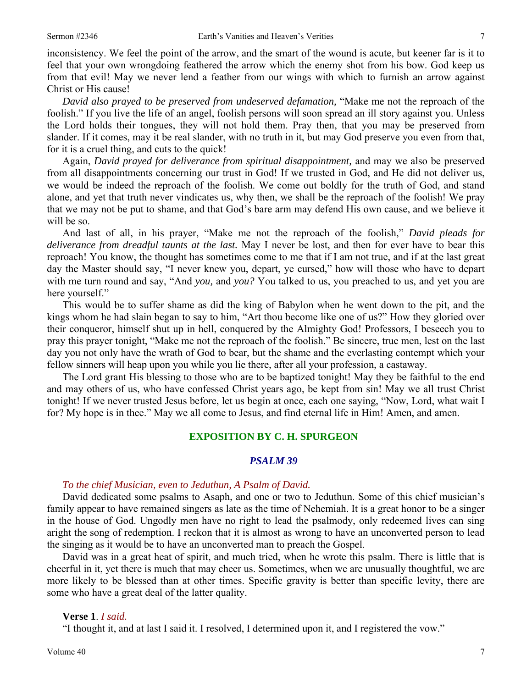inconsistency. We feel the point of the arrow, and the smart of the wound is acute, but keener far is it to feel that your own wrongdoing feathered the arrow which the enemy shot from his bow. God keep us from that evil! May we never lend a feather from our wings with which to furnish an arrow against Christ or His cause!

*David also prayed to be preserved from undeserved defamation,* "Make me not the reproach of the foolish." If you live the life of an angel, foolish persons will soon spread an ill story against you. Unless the Lord holds their tongues, they will not hold them. Pray then, that you may be preserved from slander. If it comes, may it be real slander, with no truth in it, but may God preserve you even from that, for it is a cruel thing, and cuts to the quick!

Again, *David prayed for deliverance from spiritual disappointment,* and may we also be preserved from all disappointments concerning our trust in God! If we trusted in God, and He did not deliver us, we would be indeed the reproach of the foolish. We come out boldly for the truth of God, and stand alone, and yet that truth never vindicates us, why then, we shall be the reproach of the foolish! We pray that we may not be put to shame, and that God's bare arm may defend His own cause, and we believe it will be so.

And last of all, in his prayer, "Make me not the reproach of the foolish," *David pleads for deliverance from dreadful taunts at the last.* May I never be lost, and then for ever have to bear this reproach! You know, the thought has sometimes come to me that if I am not true, and if at the last great day the Master should say, "I never knew you, depart, ye cursed," how will those who have to depart with me turn round and say, "And *you,* and *you?* You talked to us, you preached to us, and yet you are here yourself."

This would be to suffer shame as did the king of Babylon when he went down to the pit, and the kings whom he had slain began to say to him, "Art thou become like one of us?" How they gloried over their conqueror, himself shut up in hell, conquered by the Almighty God! Professors, I beseech you to pray this prayer tonight, "Make me not the reproach of the foolish." Be sincere, true men, lest on the last day you not only have the wrath of God to bear, but the shame and the everlasting contempt which your fellow sinners will heap upon you while you lie there, after all your profession, a castaway.

The Lord grant His blessing to those who are to be baptized tonight! May they be faithful to the end and may others of us, who have confessed Christ years ago, be kept from sin! May we all trust Christ tonight! If we never trusted Jesus before, let us begin at once, each one saying, "Now, Lord, what wait I for? My hope is in thee." May we all come to Jesus, and find eternal life in Him! Amen, and amen.

#### **EXPOSITION BY C. H. SPURGEON**

#### *PSALM 39*

#### *To the chief Musician, even to Jeduthun, A Psalm of David.*

David dedicated some psalms to Asaph, and one or two to Jeduthun. Some of this chief musician's family appear to have remained singers as late as the time of Nehemiah. It is a great honor to be a singer in the house of God. Ungodly men have no right to lead the psalmody, only redeemed lives can sing aright the song of redemption. I reckon that it is almost as wrong to have an unconverted person to lead the singing as it would be to have an unconverted man to preach the Gospel.

David was in a great heat of spirit, and much tried, when he wrote this psalm. There is little that is cheerful in it, yet there is much that may cheer us. Sometimes, when we are unusually thoughtful, we are more likely to be blessed than at other times. Specific gravity is better than specific levity, there are some who have a great deal of the latter quality.

#### **Verse 1**. *I said.*

"I thought it, and at last I said it. I resolved, I determined upon it, and I registered the vow."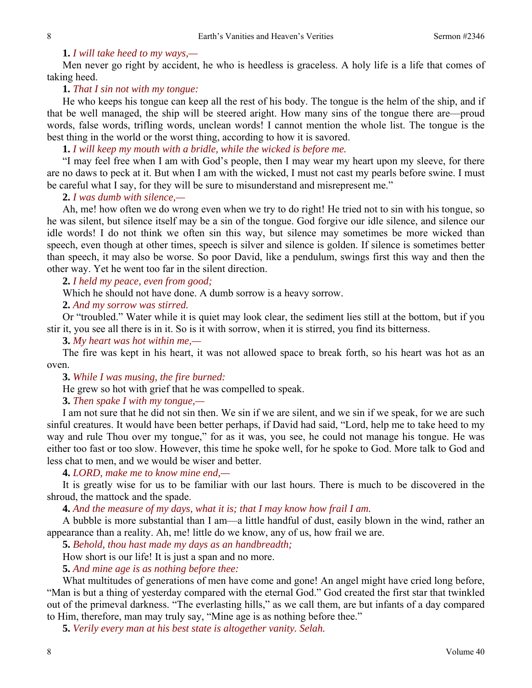## **1.** *I will take heed to my ways,—*

Men never go right by accident, he who is heedless is graceless. A holy life is a life that comes of taking heed.

## **1.** *That I sin not with my tongue:*

He who keeps his tongue can keep all the rest of his body. The tongue is the helm of the ship, and if that be well managed, the ship will be steered aright. How many sins of the tongue there are—proud words, false words, trifling words, unclean words! I cannot mention the whole list. The tongue is the best thing in the world or the worst thing, according to how it is savored.

**1.** *I will keep my mouth with a bridle, while the wicked is before me.* 

"I may feel free when I am with God's people, then I may wear my heart upon my sleeve, for there are no daws to peck at it. But when I am with the wicked, I must not cast my pearls before swine. I must be careful what I say, for they will be sure to misunderstand and misrepresent me."

#### **2.** *I was dumb with silence,—*

Ah, me! how often we do wrong even when we try to do right! He tried not to sin with his tongue, so he was silent, but silence itself may be a sin of the tongue. God forgive our idle silence, and silence our idle words! I do not think we often sin this way, but silence may sometimes be more wicked than speech, even though at other times, speech is silver and silence is golden. If silence is sometimes better than speech, it may also be worse. So poor David, like a pendulum, swings first this way and then the other way. Yet he went too far in the silent direction.

**2.** *I held my peace, even from good;* 

Which he should not have done. A dumb sorrow is a heavy sorrow.

#### **2.** *And my sorrow was stirred.*

Or "troubled." Water while it is quiet may look clear, the sediment lies still at the bottom, but if you stir it, you see all there is in it. So is it with sorrow, when it is stirred, you find its bitterness.

**3.** *My heart was hot within me,—* 

The fire was kept in his heart, it was not allowed space to break forth, so his heart was hot as an oven.

**3.** *While I was musing, the fire burned:* 

He grew so hot with grief that he was compelled to speak.

**3.** *Then spake I with my tongue,—* 

I am not sure that he did not sin then. We sin if we are silent, and we sin if we speak, for we are such sinful creatures. It would have been better perhaps, if David had said, "Lord, help me to take heed to my way and rule Thou over my tongue," for as it was, you see, he could not manage his tongue. He was either too fast or too slow. However, this time he spoke well, for he spoke to God. More talk to God and less chat to men, and we would be wiser and better.

**4.** *LORD, make me to know mine end,—* 

It is greatly wise for us to be familiar with our last hours. There is much to be discovered in the shroud, the mattock and the spade.

**4.** *And the measure of my days, what it is; that I may know how frail I am.* 

A bubble is more substantial than I am—a little handful of dust, easily blown in the wind, rather an appearance than a reality. Ah, me! little do we know, any of us, how frail we are.

**5.** *Behold, thou hast made my days as an handbreadth;* 

How short is our life! It is just a span and no more.

**5.** *And mine age is as nothing before thee:* 

What multitudes of generations of men have come and gone! An angel might have cried long before, "Man is but a thing of yesterday compared with the eternal God." God created the first star that twinkled out of the primeval darkness. "The everlasting hills," as we call them, are but infants of a day compared to Him, therefore, man may truly say, "Mine age is as nothing before thee."

**5.** *Verily every man at his best state is altogether vanity. Selah.*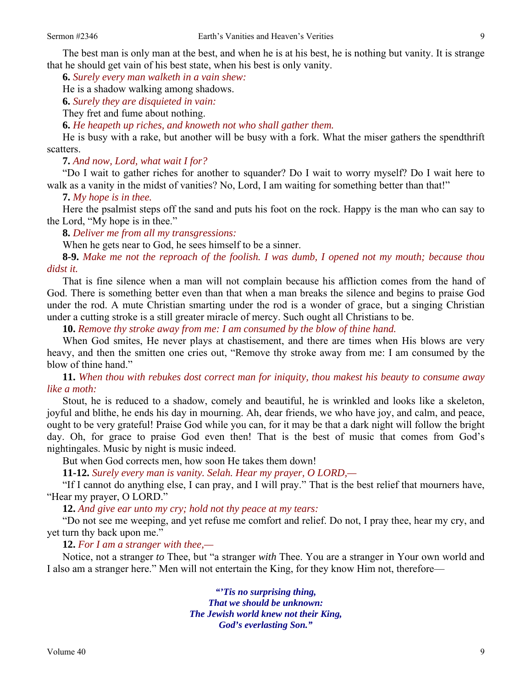The best man is only man at the best, and when he is at his best, he is nothing but vanity. It is strange that he should get vain of his best state, when his best is only vanity.

**6.** *Surely every man walketh in a vain shew:* 

He is a shadow walking among shadows.

**6.** *Surely they are disquieted in vain:* 

They fret and fume about nothing.

**6.** *He heapeth up riches, and knoweth not who shall gather them.* 

He is busy with a rake, but another will be busy with a fork. What the miser gathers the spendthrift scatters.

**7.** *And now, Lord, what wait I for?* 

"Do I wait to gather riches for another to squander? Do I wait to worry myself? Do I wait here to walk as a vanity in the midst of vanities? No, Lord, I am waiting for something better than that!"

**7.** *My hope is in thee.* 

Here the psalmist steps off the sand and puts his foot on the rock. Happy is the man who can say to the Lord, "My hope is in thee."

**8.** *Deliver me from all my transgressions:* 

When he gets near to God, he sees himself to be a sinner.

**8-9.** *Make me not the reproach of the foolish. I was dumb, I opened not my mouth; because thou didst it.* 

That is fine silence when a man will not complain because his affliction comes from the hand of God. There is something better even than that when a man breaks the silence and begins to praise God under the rod. A mute Christian smarting under the rod is a wonder of grace, but a singing Christian under a cutting stroke is a still greater miracle of mercy. Such ought all Christians to be.

**10.** *Remove thy stroke away from me: I am consumed by the blow of thine hand.* 

When God smites, He never plays at chastisement, and there are times when His blows are very heavy, and then the smitten one cries out, "Remove thy stroke away from me: I am consumed by the blow of thine hand."

**11.** *When thou with rebukes dost correct man for iniquity, thou makest his beauty to consume away like a moth:* 

Stout, he is reduced to a shadow, comely and beautiful, he is wrinkled and looks like a skeleton, joyful and blithe, he ends his day in mourning. Ah, dear friends, we who have joy, and calm, and peace, ought to be very grateful! Praise God while you can, for it may be that a dark night will follow the bright day. Oh, for grace to praise God even then! That is the best of music that comes from God's nightingales. Music by night is music indeed.

But when God corrects men, how soon He takes them down!

**11-12.** *Surely every man is vanity. Selah. Hear my prayer, O LORD,—* 

"If I cannot do anything else, I can pray, and I will pray." That is the best relief that mourners have, "Hear my prayer, O LORD."

**12.** *And give ear unto my cry; hold not thy peace at my tears:* 

"Do not see me weeping, and yet refuse me comfort and relief. Do not, I pray thee, hear my cry, and yet turn thy back upon me."

## **12.** *For I am a stranger with thee,—*

Notice, not a stranger *to* Thee, but "a stranger *with* Thee. You are a stranger in Your own world and I also am a stranger here." Men will not entertain the King, for they know Him not, therefore—

> *"'Tis no surprising thing, That we should be unknown: The Jewish world knew not their King, God's everlasting Son."*